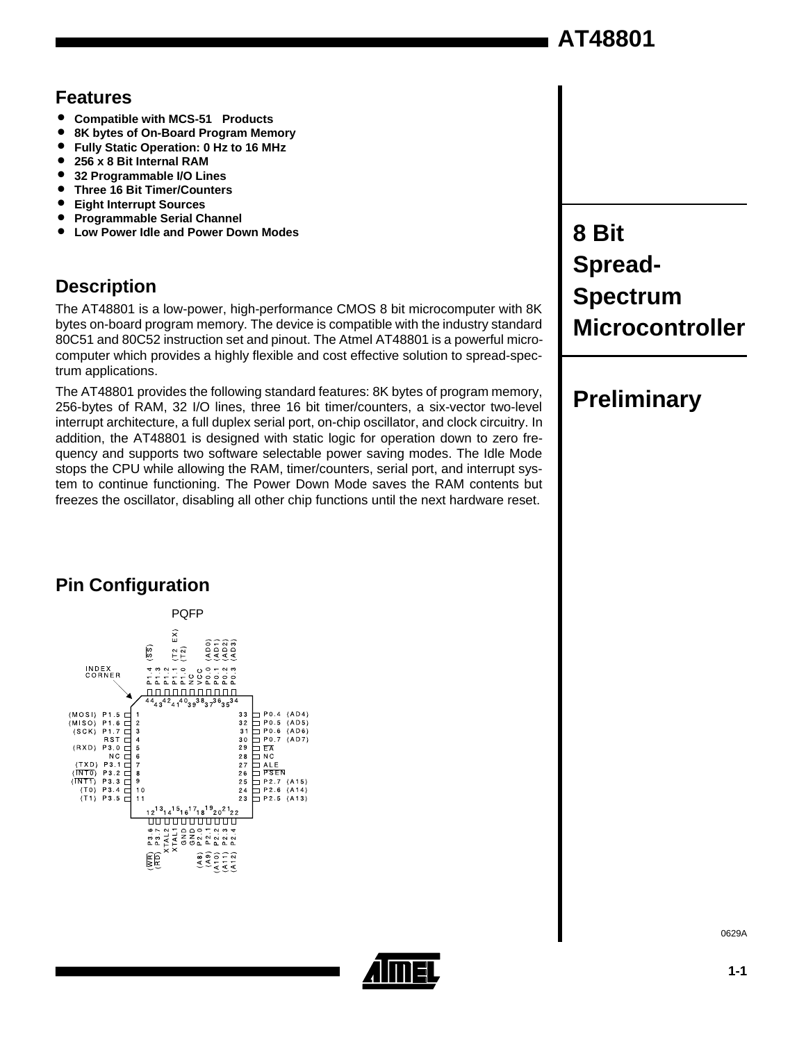### **Features**

- Compatible with MCS-51<sup>™</sup> Products<br>● 8K bytes of On-Board Program Mem
- 8K bytes of On-Board Program Memory<br>● Fully Static Operation: 0 Hz to 16 MHz
- Fully Static Operation: 0 Hz to 16 MHz<br>● 256 x 8 Bit Internal RAM
- **256 x 8 Bit Internal RAM**
- 32 Programmable I/O Lines<br>● Three 16 Rit Timer/Counters
- **Three 16 Bit Timer/Counters**
- **Eight Interrupt Sources**
- **Programmable Serial Channel** • **Low Power Idle and Power Down Modes**

### **Description**

The AT48801 is a low-power, high-performance CMOS 8 bit microcomputer with 8K bytes on-board program memory. The device is compatible with the industry standard 80C51 and 80C52 instruction set and pinout. The Atmel AT48801 is a powerful microcomputer which provides a highly flexible and cost effective solution to spread-spectrum applications.

The AT48801 provides the following standard features: 8K bytes of program memory, 256-bytes of RAM, 32 I/O lines, three 16 bit timer/counters, a six-vector two-level interrupt architecture, a full duplex serial port, on-chip oscillator, and clock circuitry. In addition, the AT48801 is designed with static logic for operation down to zero frequency and supports two software selectable power saving modes. The Idle Mode stops the CPU while allowing the RAM, timer/counters, serial port, and interrupt system to continue functioning. The Power Down Mode saves the RAM contents but freezes the oscillator, disabling all other chip functions until the next hardware reset.

# **8 Bit Spread-Spectrum Microcontroller**

# **Preliminary**

# **Pin Configuration**





0629A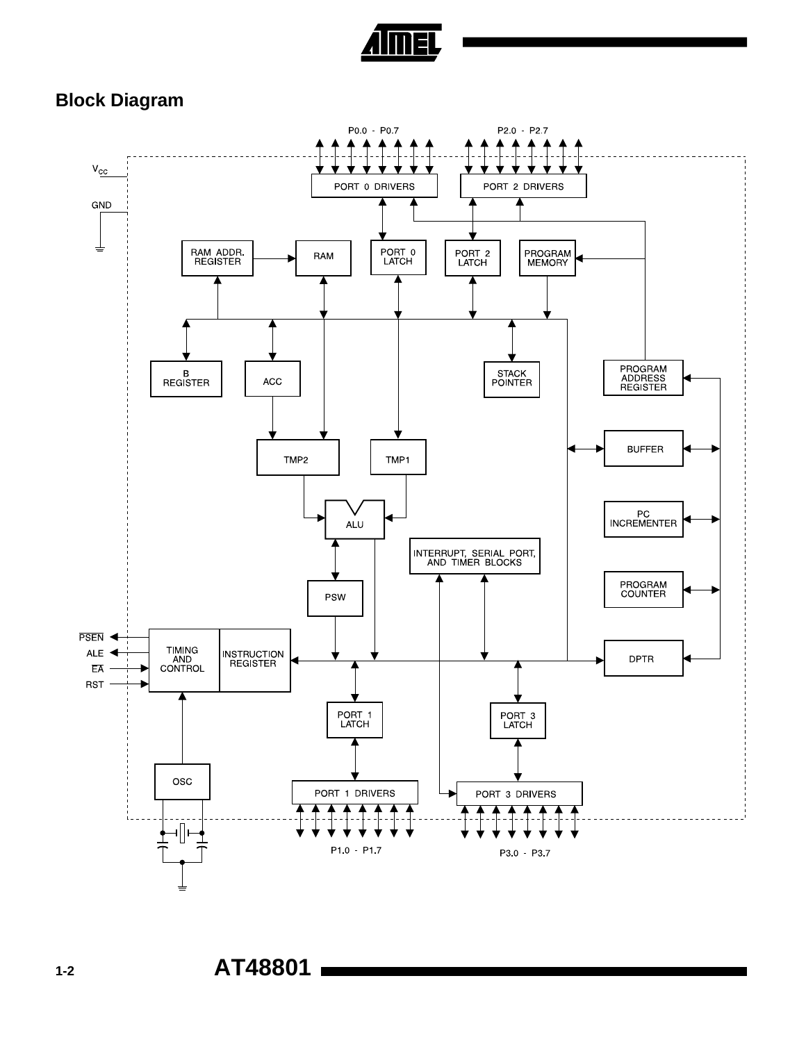

### **Block Diagram**

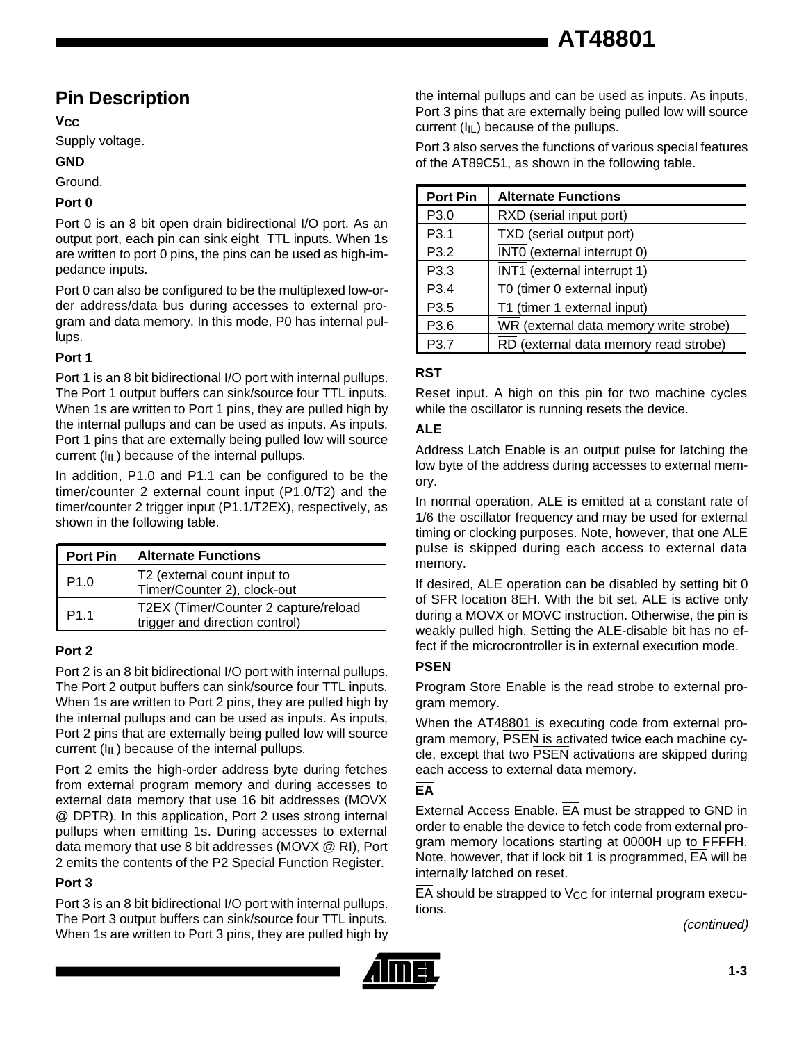### **Pin Description**

**VCC**

Supply voltage.

#### **GND**

Ground.

#### **Port 0**

Port 0 is an 8 bit open drain bidirectional I/O port. As an output port, each pin can sink eight TTL inputs. When 1s are written to port 0 pins, the pins can be used as high-impedance inputs.

Port 0 can also be configured to be the multiplexed low-order address/data bus during accesses to external program and data memory. In this mode, P0 has internal pullups.

#### **Port 1**

Port 1 is an 8 bit bidirectional I/O port with internal pullups. The Port 1 output buffers can sink/source four TTL inputs. When 1s are written to Port 1 pins, they are pulled high by the internal pullups and can be used as inputs. As inputs, Port 1 pins that are externally being pulled low will source current  $(I_{IL})$  because of the internal pullups.

In addition, P1.0 and P1.1 can be configured to be the timer/counter 2 external count input (P1.0/T2) and the timer/counter 2 trigger input (P1.1/T2EX), respectively, as shown in the following table.

| <b>Port Pin</b>  | <b>Alternate Functions</b>                                             |
|------------------|------------------------------------------------------------------------|
| P <sub>1.0</sub> | T2 (external count input to<br>Timer/Counter 2), clock-out             |
| P <sub>1.1</sub> | T2EX (Timer/Counter 2 capture/reload<br>trigger and direction control) |

#### **Port 2**

Port 2 is an 8 bit bidirectional I/O port with internal pullups. The Port 2 output buffers can sink/source four TTL inputs. When 1s are written to Port 2 pins, they are pulled high by the internal pullups and can be used as inputs. As inputs, Port 2 pins that are externally being pulled low will source current  $(I_{IL})$  because of the internal pullups.

Port 2 emits the high-order address byte during fetches from external program memory and during accesses to external data memory that use 16 bit addresses (MOVX @ DPTR). In this application, Port 2 uses strong internal pullups when emitting 1s. During accesses to external data memory that use 8 bit addresses (MOVX @ RI), Port 2 emits the contents of the P2 Special Function Register.

#### **Port 3**

Port 3 is an 8 bit bidirectional I/O port with internal pullups. The Port 3 output buffers can sink/source four TTL inputs. The Port 3 output builers can sink/source four TTL inputs.<br>When 1s are written to Port 3 pins, they are pulled high by

the internal pullups and can be used as inputs. As inputs, Port 3 pins that are externally being pulled low will source current ( $I_{IL}$ ) because of the pullups.

Port 3 also serves the functions of various special features of the AT89C51, as shown in the following table.

| <b>Port Pin</b>  | <b>Alternate Functions</b>             |
|------------------|----------------------------------------|
| P3.0             | RXD (serial input port)                |
| P3.1             | TXD (serial output port)               |
| P3.2             | INTO (external interrupt 0)            |
| P3.3             | INT1 (external interrupt 1)            |
| P <sub>3.4</sub> | T0 (timer 0 external input)            |
| P <sub>3.5</sub> | T1 (timer 1 external input)            |
| P3.6             | WR (external data memory write strobe) |
| P3.7             | RD (external data memory read strobe)  |

#### **RST**

Reset input. A high on this pin for two machine cycles while the oscillator is running resets the device.

#### **ALE**

Address Latch Enable is an output pulse for latching the low byte of the address during accesses to external memory.

In normal operation, ALE is emitted at a constant rate of 1/6 the oscillator frequency and may be used for external timing or clocking purposes. Note, however, that one ALE pulse is skipped during each access to external data memory.

If desired, ALE operation can be disabled by setting bit 0 of SFR location 8EH. With the bit set, ALE is active only during a MOVX or MOVC instruction. Otherwise, the pin is weakly pulled high. Setting the ALE-disable bit has no effect if the microcrontroller is in external execution mode.

#### **PSEN**

Program Store Enable is the read strobe to external program memory.

When the AT48801 is executing code from external program memory, PSEN is activated twice each machine cycle, except that two PSEN activations are skipped during each access to external data memory.

#### **EA**

External Access Enable. EA must be strapped to GND in order to enable the device to fetch code from external program memory locations starting at 0000H up to FFFFH. Note, however, that if lock bit 1 is programmed, EA will be internally latched on reset.

 $\overline{EA}$  should be strapped to V<sub>CC</sub> for internal program executions.

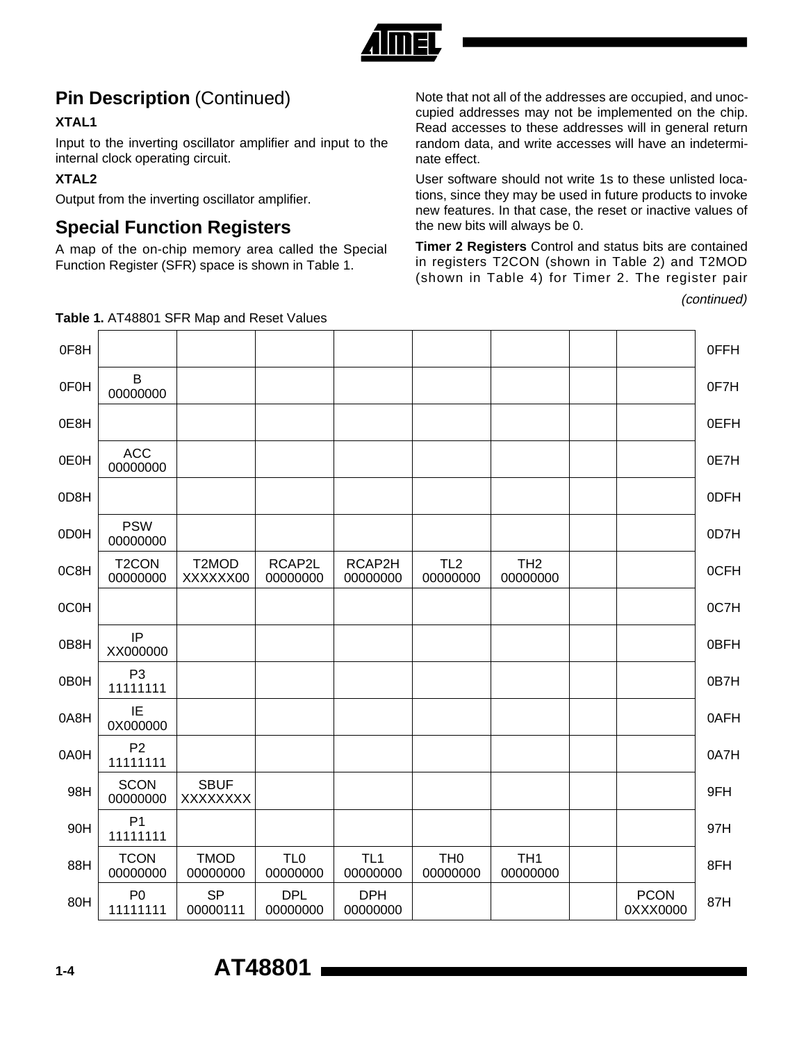

## **Pin Description (Continued)**

#### **XTAL1**

Input to the inverting oscillator amplifier and input to the internal clock operating circuit.

#### **XTAL2**

 $\Gamma$ 

Output from the inverting oscillator amplifier.

### **Special Function Registers**

A map of the on-chip memory area called the Special Function Register (SFR) space is shown in Table 1.

Note that not all of the addresses are occupied, and unoccupied addresses may not be implemented on the chip. Read accesses to these addresses will in general return random data, and write accesses will have an indeterminate effect.

User software should not write 1s to these unlisted locations, since they may be used in future products to invoke new features. In that case, the reset or inactive values of the new bits will always be 0.

**Timer 2 Registers** Control and status bits are contained in registers T2CON (shown in Table 2) and T2MOD (shown in Table 4) for Timer 2. The register pair

(continued)

| 0F8H |                                |                         |                             |                             |                             |                             |                         | 0FFH |
|------|--------------------------------|-------------------------|-----------------------------|-----------------------------|-----------------------------|-----------------------------|-------------------------|------|
| 0F0H | B<br>00000000                  |                         |                             |                             |                             |                             |                         | 0F7H |
| 0E8H |                                |                         |                             |                             |                             |                             |                         | 0EFH |
| 0E0H | <b>ACC</b><br>00000000         |                         |                             |                             |                             |                             |                         | 0E7H |
| 0D8H |                                |                         |                             |                             |                             |                             |                         | 0DFH |
| 0D0H | <b>PSW</b><br>00000000         |                         |                             |                             |                             |                             |                         | 0D7H |
| 0C8H | T <sub>2</sub> CON<br>00000000 | T2MOD<br>XXXXXX00       | RCAP2L<br>00000000          | RCAP2H<br>00000000          | TL <sub>2</sub><br>00000000 | TH <sub>2</sub><br>00000000 |                         | 0CFH |
| 0C0H |                                |                         |                             |                             |                             |                             |                         | 0C7H |
| 0B8H | IP<br>XX000000                 |                         |                             |                             |                             |                             |                         | 0BFH |
| 0B0H | P <sub>3</sub><br>11111111     |                         |                             |                             |                             |                             |                         | 0B7H |
| 0A8H | IE<br>0X000000                 |                         |                             |                             |                             |                             |                         | 0AFH |
| 0A0H | P <sub>2</sub><br>11111111     |                         |                             |                             |                             |                             |                         | 0A7H |
| 98H  | <b>SCON</b><br>00000000        | <b>SBUF</b><br>XXXXXXX  |                             |                             |                             |                             |                         | 9FH  |
| 90H  | P <sub>1</sub><br>11111111     |                         |                             |                             |                             |                             |                         | 97H  |
| 88H  | <b>TCON</b><br>00000000        | <b>TMOD</b><br>00000000 | TL <sub>0</sub><br>00000000 | TL <sub>1</sub><br>00000000 | TH <sub>0</sub><br>00000000 | TH <sub>1</sub><br>00000000 |                         | 8FH  |
| 80H  | P <sub>0</sub><br>11111111     | <b>SP</b><br>00000111   | <b>DPL</b><br>00000000      | <b>DPH</b><br>00000000      |                             |                             | <b>PCON</b><br>0XXX0000 | 87H  |

**Table 1.** AT48801 SFR Map and Reset Values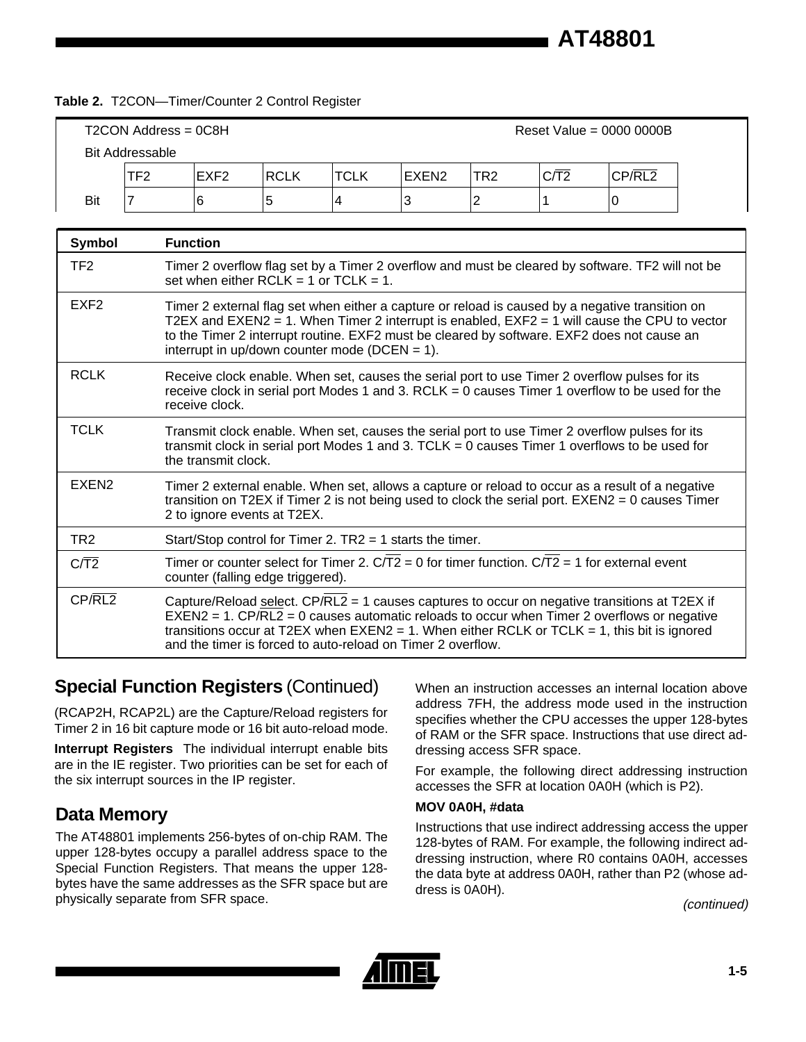#### **Table 2.** T2CON—Timer/Counter 2 Control Register

| T2CON Address = 0C8H<br>Reset Value = $0000 0000B$ |                                                                                                                                                |                  |             |      |                   |     |      |        |  |
|----------------------------------------------------|------------------------------------------------------------------------------------------------------------------------------------------------|------------------|-------------|------|-------------------|-----|------|--------|--|
| <b>Bit Addressable</b>                             |                                                                                                                                                |                  |             |      |                   |     |      |        |  |
|                                                    | TF <sub>2</sub>                                                                                                                                | EXF <sub>2</sub> | <b>RCLK</b> | TCLK | EXEN <sub>2</sub> | TR2 | C/T2 | CP/RL2 |  |
| Bit                                                |                                                                                                                                                | 6                | 5           | 4    | 3                 | 2   |      | U      |  |
|                                                    |                                                                                                                                                |                  |             |      |                   |     |      |        |  |
| Symbol                                             |                                                                                                                                                | <b>Function</b>  |             |      |                   |     |      |        |  |
| TF <sub>2</sub>                                    | Timer 2 overflow flag set by a Timer 2 overflow and must be cleared by software. TF2 will not be<br>cot whon oithor RCI K $-$ 1 or TCI K $-$ 1 |                  |             |      |                   |     |      |        |  |

|                   | 39. WISH SILISI INSEN = T 91 TSEN                                                                                                                                                                                                                                                                                                                    |
|-------------------|------------------------------------------------------------------------------------------------------------------------------------------------------------------------------------------------------------------------------------------------------------------------------------------------------------------------------------------------------|
| EXF <sub>2</sub>  | Timer 2 external flag set when either a capture or reload is caused by a negative transition on<br>T2EX and EXEN2 = 1. When Timer 2 interrupt is enabled, $EXF2 = 1$ will cause the CPU to vector<br>to the Timer 2 interrupt routine. EXF2 must be cleared by software. EXF2 does not cause an<br>interrupt in up/down counter mode ( $DCEN = 1$ ). |
| <b>RCLK</b>       | Receive clock enable. When set, causes the serial port to use Timer 2 overflow pulses for its<br>receive clock in serial port Modes 1 and 3. $RCLK = 0$ causes Timer 1 overflow to be used for the<br>receive clock.                                                                                                                                 |
| <b>TCLK</b>       | Transmit clock enable. When set, causes the serial port to use Timer 2 overflow pulses for its<br>transmit clock in serial port Modes 1 and 3. TCLK = $0$ causes Timer 1 overflows to be used for<br>the transmit clock.                                                                                                                             |
| EXEN <sub>2</sub> | Timer 2 external enable. When set, allows a capture or reload to occur as a result of a negative<br>transition on T2EX if Timer 2 is not being used to clock the serial port. $EXEN2 = 0$ causes Timer<br>2 to ignore events at T2EX.                                                                                                                |
| TR <sub>2</sub>   | Start/Stop control for Timer 2. $TR2 = 1$ starts the timer.                                                                                                                                                                                                                                                                                          |
| C/T2              | Timer or counter select for Timer 2. $C/T2 = 0$ for timer function. $C/T2 = 1$ for external event<br>counter (falling edge triggered).                                                                                                                                                                                                               |
| CP/RL2            | Capture/Reload select. CP/RL2 = 1 causes captures to occur on negative transitions at T2EX if<br>$EXEN2 = 1$ . CP/RL2 = 0 causes automatic reloads to occur when Timer 2 overflows or negative                                                                                                                                                       |

and the timer is forced to auto-reload on Timer 2 overflow.

### **Special Function Registers** (Continued)

(RCAP2H, RCAP2L) are the Capture/Reload registers for Timer 2 in 16 bit capture mode or 16 bit auto-reload mode.

**Interrupt Registers** The individual interrupt enable bits are in the IE register. Two priorities can be set for each of the six interrupt sources in the IP register.

### **Data Memory**

The AT48801 implements 256-bytes of on-chip RAM. The upper 128-bytes occupy a parallel address space to the Special Function Registers. That means the upper 128 bytes have the same addresses as the SFR space but are physically separate from SFR space.

When an instruction accesses an internal location above address 7FH, the address mode used in the instruction specifies whether the CPU accesses the upper 128-bytes of RAM or the SFR space. Instructions that use direct addressing access SFR space.

For example, the following direct addressing instruction accesses the SFR at location 0A0H (which is P2).

#### **MOV 0A0H, #data**

transitions occur at T2EX when EXEN2 = 1. When either RCLK or TCLK = 1, this bit is ignored

Instructions that use indirect addressing access the upper 128-bytes of RAM. For example, the following indirect addressing instruction, where R0 contains 0A0H, accesses the data byte at address 0A0H, rather than P2 (whose address is 0A0H).

(continued)

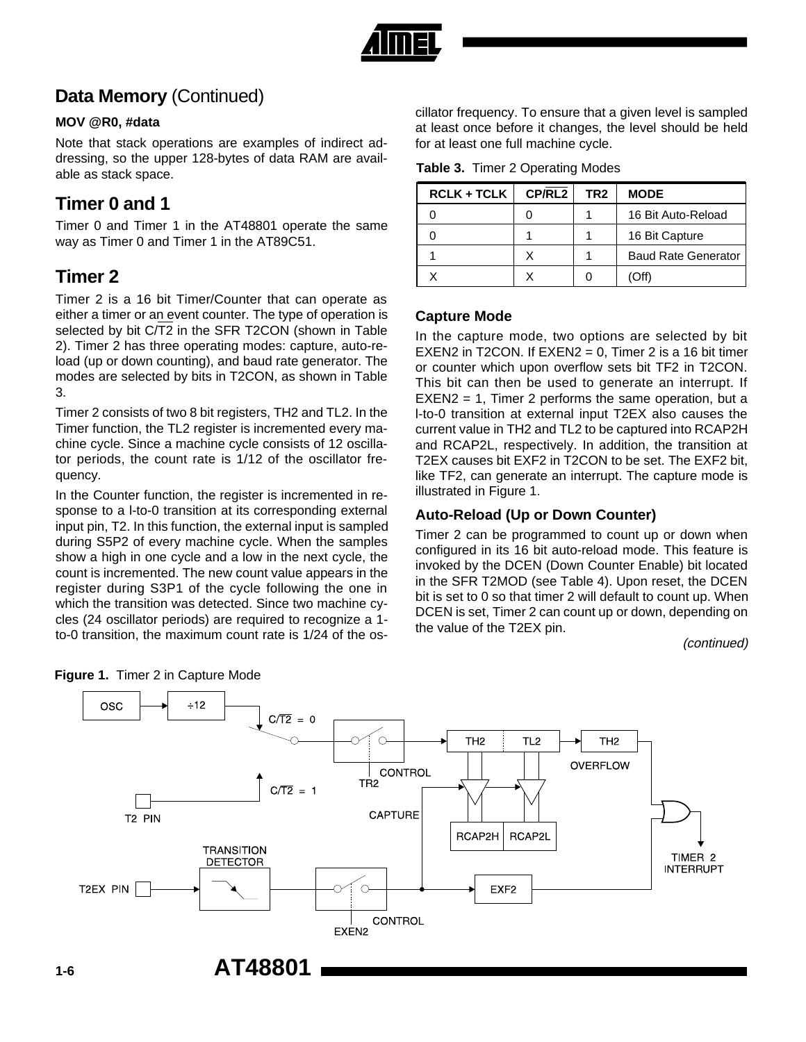

## **Data Memory** (Continued)

#### **MOV @R0, #data**

Note that stack operations are examples of indirect addressing, so the upper 128-bytes of data RAM are available as stack space.

### **Timer 0 and 1**

Timer 0 and Timer 1 in the AT48801 operate the same way as Timer 0 and Timer 1 in the AT89C51.

### **Timer 2**

Timer 2 is a 16 bit Timer/Counter that can operate as either a timer or an event counter. The type of operation is selected by bit C/T2 in the SFR T2CON (shown in Table 2). Timer 2 has three operating modes: capture, auto-reload (up or down counting), and baud rate generator. The modes are selected by bits in T2CON, as shown in Table 3.

Timer 2 consists of two 8 bit registers, TH2 and TL2. In the Timer function, the TL2 register is incremented every machine cycle. Since a machine cycle consists of 12 oscillator periods, the count rate is 1/12 of the oscillator frequency.

In the Counter function, the register is incremented in response to a l-to-0 transition at its corresponding external input pin, T2. In this function, the external input is sampled during S5P2 of every machine cycle. When the samples show a high in one cycle and a low in the next cycle, the count is incremented. The new count value appears in the register during S3P1 of the cycle following the one in which the transition was detected. Since two machine cycles (24 oscillator periods) are required to recognize a 1 to-0 transition, the maximum count rate is 1/24 of the os-

cillator frequency. To ensure that a given level is sampled at least once before it changes, the level should be held for at least one full machine cycle.

|  | Table 3. Timer 2 Operating Modes |  |
|--|----------------------------------|--|
|  |                                  |  |

| <b>RCLK + TCLK</b> | CP/RL2 | TR2 | <b>MODE</b>                |
|--------------------|--------|-----|----------------------------|
|                    |        |     | 16 Bit Auto-Reload         |
|                    |        |     | 16 Bit Capture             |
|                    | x      |     | <b>Baud Rate Generator</b> |
|                    |        |     |                            |

#### **Capture Mode**

In the capture mode, two options are selected by bit EXEN2 in T2CON. If  $EXEN2 = 0$ , Timer 2 is a 16 bit timer or counter which upon overflow sets bit TF2 in T2CON. This bit can then be used to generate an interrupt. If  $EXEN2 = 1$ , Timer 2 performs the same operation, but a l-to-0 transition at external input T2EX also causes the current value in TH2 and TL2 to be captured into RCAP2H and RCAP2L, respectively. In addition, the transition at T2EX causes bit EXF2 in T2CON to be set. The EXF2 bit, like TF2, can generate an interrupt. The capture mode is illustrated in Figure 1.

#### **Auto-Reload (Up or Down Counter)**

Timer 2 can be programmed to count up or down when configured in its 16 bit auto-reload mode. This feature is invoked by the DCEN (Down Counter Enable) bit located in the SFR T2MOD (see Table 4). Upon reset, the DCEN bit is set to 0 so that timer 2 will default to count up. When DCEN is set, Timer 2 can count up or down, depending on the value of the T2EX pin.

(continued)



#### **Figure 1.** Timer 2 in Capture Mode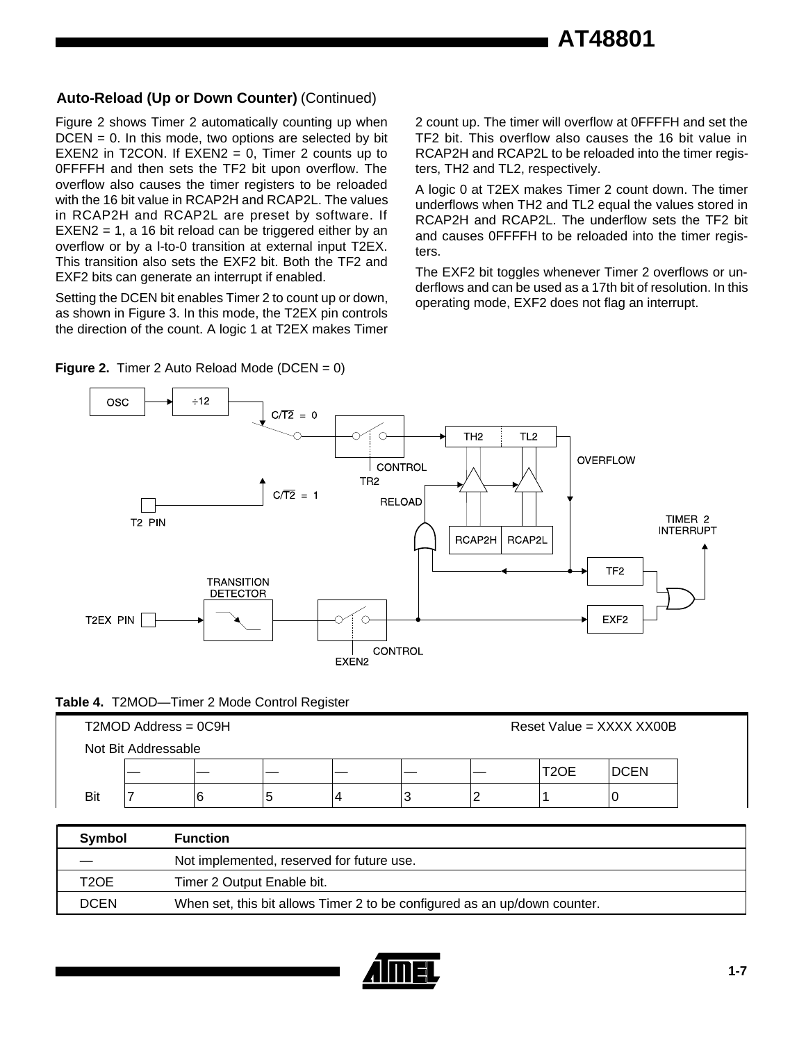#### **Auto-Reload (Up or Down Counter)** (Continued)

Figure 2 shows Timer 2 automatically counting up when  $DCEN = 0$ . In this mode, two options are selected by bit EXEN2 in T2CON. If  $EXEN2 = 0$ , Timer 2 counts up to 0FFFFH and then sets the TF2 bit upon overflow. The overflow also causes the timer registers to be reloaded with the 16 bit value in RCAP2H and RCAP2L. The values in RCAP2H and RCAP2L are preset by software. If EXEN2 = 1, a 16 bit reload can be triggered either by an overflow or by a l-to-0 transition at external input T2EX. This transition also sets the EXF2 bit. Both the TF2 and EXF2 bits can generate an interrupt if enabled.

Setting the DCEN bit enables Timer 2 to count up or down, as shown in Figure 3. In this mode, the T2EX pin controls the direction of the count. A logic 1 at T2EX makes Timer 2 count up. The timer will overflow at 0FFFFH and set the TF2 bit. This overflow also causes the 16 bit value in RCAP2H and RCAP2L to be reloaded into the timer registers, TH2 and TL2, respectively.

A logic 0 at T2EX makes Timer 2 count down. The timer underflows when TH2 and TL2 equal the values stored in RCAP2H and RCAP2L. The underflow sets the TF2 bit and causes 0FFFFH to be reloaded into the timer registers.

The EXF2 bit toggles whenever Timer 2 overflows or underflows and can be used as a 17th bit of resolution. In this operating mode, EXF2 does not flag an interrupt.



#### **Figure 2.** Timer 2 Auto Reload Mode (DCEN = 0)

#### **Table 4.** T2MOD—Timer 2 Mode Control Register

|                     | $T2MOD$ Address = $0C9H$ |  |   |  |  | Reset Value = XXXX XX00B |      |             |  |
|---------------------|--------------------------|--|---|--|--|--------------------------|------|-------------|--|
| Not Bit Addressable |                          |  |   |  |  |                          |      |             |  |
|                     |                          |  |   |  |  |                          | T2OE | <b>DCEN</b> |  |
| Bit                 |                          |  | Ю |  |  |                          |      |             |  |

| Symbol      | <b>Function</b>                                                           |
|-------------|---------------------------------------------------------------------------|
|             | Not implemented, reserved for future use.                                 |
| T2OE        | Timer 2 Output Enable bit.                                                |
| <b>DCEN</b> | When set, this bit allows Timer 2 to be configured as an up/down counter. |

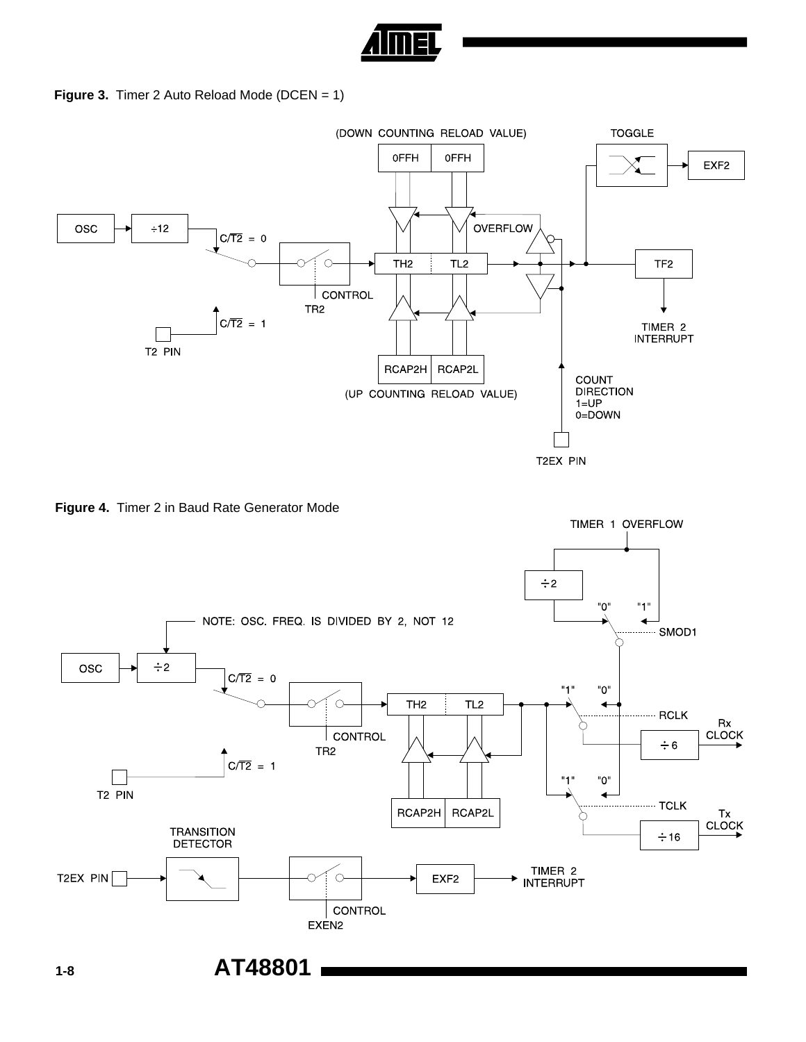

**Figure 3.** Timer 2 Auto Reload Mode (DCEN = 1)



**Figure 4.** Timer 2 in Baud Rate Generator Mode

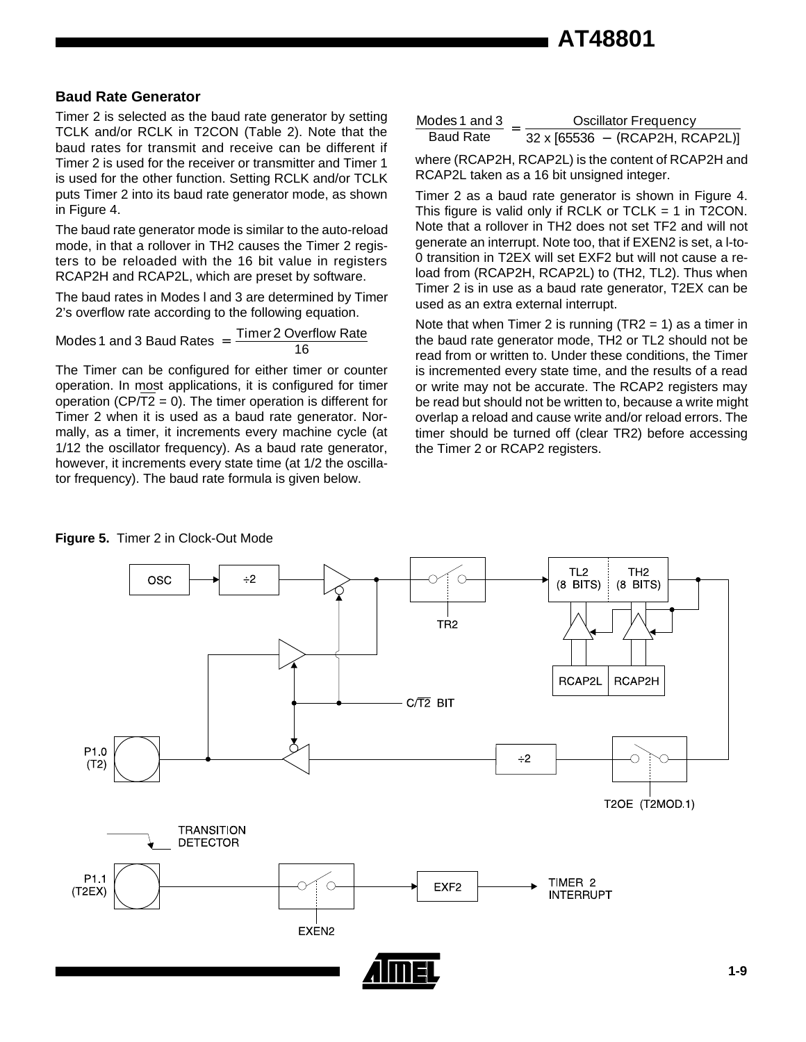#### **Baud Rate Generator**

Timer 2 is selected as the baud rate generator by setting TCLK and/or RCLK in T2CON (Table 2). Note that the baud rates for transmit and receive can be different if Timer 2 is used for the receiver or transmitter and Timer 1 is used for the other function. Setting RCLK and/or TCLK puts Timer 2 into its baud rate generator mode, as shown in Figure 4.

The baud rate generator mode is similar to the auto-reload mode, in that a rollover in TH2 causes the Timer 2 registers to be reloaded with the 16 bit value in registers RCAP2H and RCAP2L, which are preset by software.

The baud rates in Modes l and 3 are determined by Timer 2's overflow rate according to the following equation.

Modes 1 and 3 Baud Rates  $=$  Timer 2 Overflow Rate 16

The Timer can be configured for either timer or counter operation. In most applications, it is configured for timer operation ( $CP/T2 = 0$ ). The timer operation is different for Timer 2 when it is used as a baud rate generator. Normally, as a timer, it increments every machine cycle (at 1/12 the oscillator frequency). As a baud rate generator, however, it increments every state time (at 1/2 the oscillator frequency). The baud rate formula is given below.

| Modes 1 and 3    | <b>Oscillator Frequency</b>            |
|------------------|----------------------------------------|
| <b>Baud Rate</b> | $32 \times [65536 - (RCAP2H, RCAP2L)]$ |

where (RCAP2H, RCAP2L) is the content of RCAP2H and RCAP2L taken as a 16 bit unsigned integer.

Timer 2 as a baud rate generator is shown in Figure 4. This figure is valid only if RCLK or  $TCLK = 1$  in T2CON. Note that a rollover in TH2 does not set TF2 and will not generate an interrupt. Note too, that if EXEN2 is set, a l-to-0 transition in T2EX will set EXF2 but will not cause a reload from (RCAP2H, RCAP2L) to (TH2, TL2). Thus when Timer 2 is in use as a baud rate generator, T2EX can be used as an extra external interrupt.

Note that when Timer 2 is running  $(TR2 = 1)$  as a timer in the baud rate generator mode, TH2 or TL2 should not be read from or written to. Under these conditions, the Timer is incremented every state time, and the results of a read or write may not be accurate. The RCAP2 registers may be read but should not be written to, because a write might overlap a reload and cause write and/or reload errors. The timer should be turned off (clear TR2) before accessing the Timer 2 or RCAP2 registers.



#### **Figure 5.** Timer 2 in Clock-Out Mode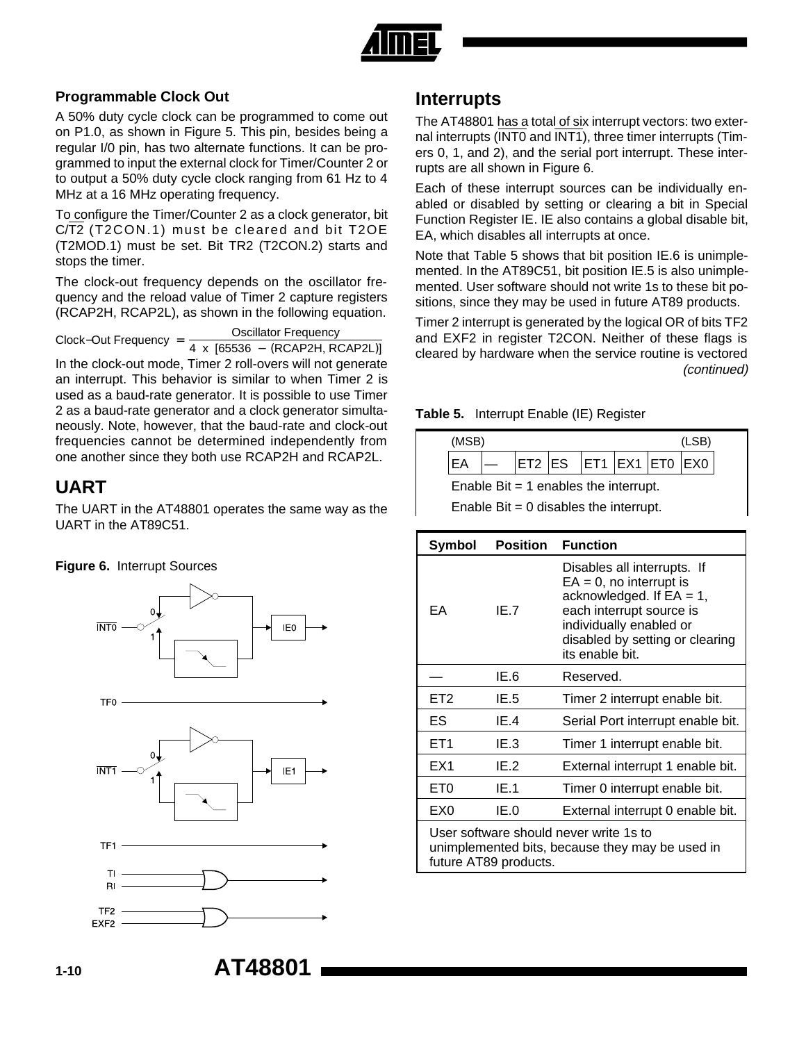

#### **Programmable Clock Out**

A 50% duty cycle clock can be programmed to come out on P1.0, as shown in Figure 5. This pin, besides being a regular I/0 pin, has two alternate functions. It can be programmed to input the external clock for Timer/Counter 2 or to output a 50% duty cycle clock ranging from 61 Hz to 4 MHz at a 16 MHz operating frequency.

To configure the Timer/Counter 2 as a clock generator, bit C/T2 (T2CON.1) must be cleared and bit T2OE (T2MOD.1) must be set. Bit TR2 (T2CON.2) starts and stops the timer.

The clock-out frequency depends on the oscillator frequency and the reload value of Timer 2 capture registers (RCAP2H, RCAP2L), as shown in the following equation.

 $\text{Clock}-\text{Out Frequency} = \frac{\text{Oscillator Frequency}}{4 \times [65536 - (\text{RCAP2H}, \text{RCAP2L})]}$ 

In the clock-out mode, Timer 2 roll-overs will not generate an interrupt. This behavior is similar to when Timer 2 is used as a baud-rate generator. It is possible to use Timer 2 as a baud-rate generator and a clock generator simultaneously. Note, however, that the baud-rate and clock-out frequencies cannot be determined independently from one another since they both use RCAP2H and RCAP2L.

### **UART**

The UART in the AT48801 operates the same way as the UART in the AT89C51.

#### **Figure 6.** Interrupt Sources







### **Interrupts**

The AT48801 has a total of six interrupt vectors: two external interrupts (INT0 and INT1), three timer interrupts (Timers 0, 1, and 2), and the serial port interrupt. These interrupts are all shown in Figure 6.

Each of these interrupt sources can be individually enabled or disabled by setting or clearing a bit in Special Function Register IE. IE also contains a global disable bit, EA, which disables all interrupts at once.

Note that Table 5 shows that bit position IE.6 is unimplemented. In the AT89C51, bit position IE.5 is also unimplemented. User software should not write 1s to these bit positions, since they may be used in future AT89 products.

Timer 2 interrupt is generated by the logical OR of bits TF2 and EXF2 in register T2CON. Neither of these flags is cleared by hardware when the service routine is vectored (continued)





Enable Bit  $= 0$  disables the interrupt.

| Symbol          | <b>Position</b>       | <b>Function</b>                                                                                                                                                                                       |
|-----------------|-----------------------|-------------------------------------------------------------------------------------------------------------------------------------------------------------------------------------------------------|
| EА              | IE.7                  | Disables all interrupts. If<br>$EA = 0$ , no interrupt is<br>acknowledged. If $EA = 1$ ,<br>each interrupt source is<br>individually enabled or<br>disabled by setting or clearing<br>its enable bit. |
|                 | IE.6                  | Reserved.                                                                                                                                                                                             |
| ET <sub>2</sub> | IE.5                  | Timer 2 interrupt enable bit.                                                                                                                                                                         |
| ES              | IE 4                  | Serial Port interrupt enable bit.                                                                                                                                                                     |
| ET <sub>1</sub> | IE.3                  | Timer 1 interrupt enable bit.                                                                                                                                                                         |
| EX1             | IE.2                  | External interrupt 1 enable bit.                                                                                                                                                                      |
| ET0             | IE.1                  | Timer 0 interrupt enable bit.                                                                                                                                                                         |
| EX0             | IE.0                  | External interrupt 0 enable bit.                                                                                                                                                                      |
|                 | future AT89 products. | User software should never write 1s to<br>unimplemented bits, because they may be used in                                                                                                             |

EXF<sub>2</sub>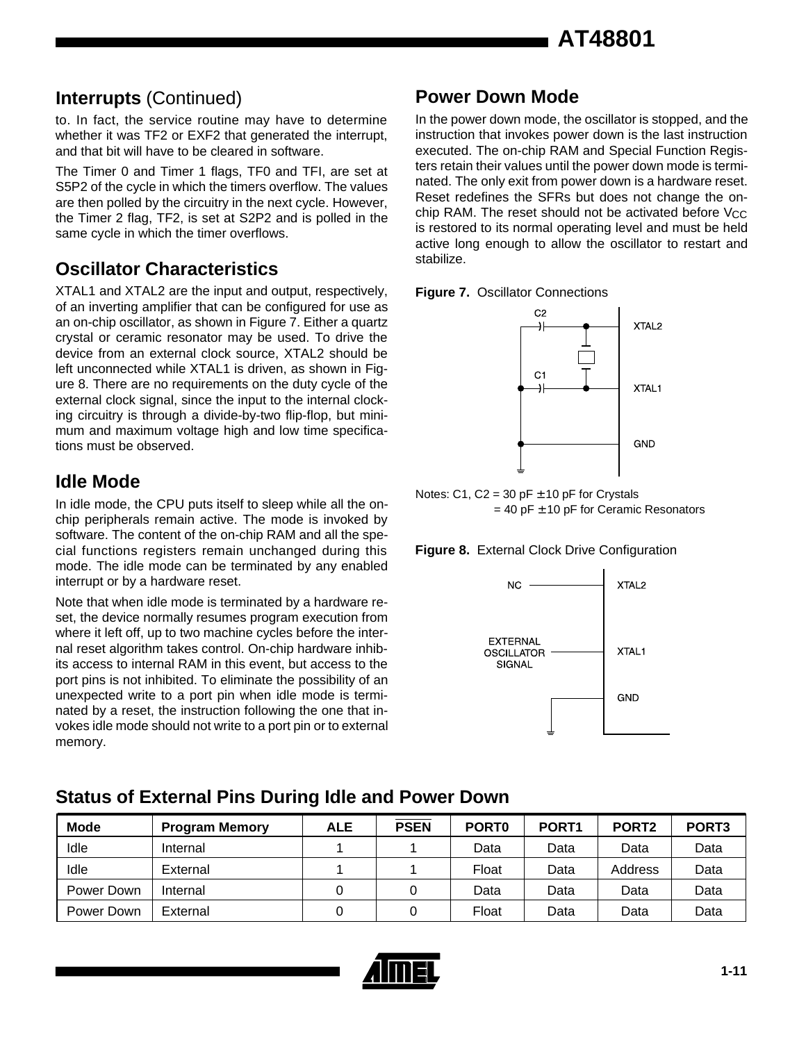### **Interrupts** (Continued) **Power Down Mode**

to. In fact, the service routine may have to determine whether it was TF2 or EXF2 that generated the interrupt, and that bit will have to be cleared in software.

The Timer 0 and Timer 1 flags, TF0 and TFI, are set at S5P2 of the cycle in which the timers overflow. The values are then polled by the circuitry in the next cycle. However, the Timer 2 flag, TF2, is set at S2P2 and is polled in the same cycle in which the timer overflows.

### **Oscillator Characteristics**

XTAL1 and XTAL2 are the input and output, respectively, of an inverting amplifier that can be configured for use as an on-chip oscillator, as shown in Figure 7. Either a quartz crystal or ceramic resonator may be used. To drive the device from an external clock source, XTAL2 should be left unconnected while XTAL1 is driven, as shown in Figure 8. There are no requirements on the duty cycle of the external clock signal, since the input to the internal clocking circuitry is through a divide-by-two flip-flop, but minimum and maximum voltage high and low time specifications must be observed.

### **Idle Mode**

In idle mode, the CPU puts itself to sleep while all the onchip peripherals remain active. The mode is invoked by software. The content of the on-chip RAM and all the special functions registers remain unchanged during this mode. The idle mode can be terminated by any enabled interrupt or by a hardware reset.

Note that when idle mode is terminated by a hardware reset, the device normally resumes program execution from where it left off, up to two machine cycles before the internal reset algorithm takes control. On-chip hardware inhibits access to internal RAM in this event, but access to the port pins is not inhibited. To eliminate the possibility of an unexpected write to a port pin when idle mode is terminated by a reset, the instruction following the one that invokes idle mode should not write to a port pin or to external memory.

In the power down mode, the oscillator is stopped, and the instruction that invokes power down is the last instruction executed. The on-chip RAM and Special Function Registers retain their values until the power down mode is terminated. The only exit from power down is a hardware reset. Reset redefines the SFRs but does not change the onchip RAM. The reset should not be activated before  $V_{CC}$ is restored to its normal operating level and must be held active long enough to allow the oscillator to restart and stabilize.





Notes: C1, C2 = 30 pF  $\pm$  10 pF for Crystals  $= 40$  pF  $\pm$  10 pF for Ceramic Resonators





### **Status of External Pins During Idle and Power Down**

| <b>Mode</b> | <b>Program Memory</b> | ALE | <b>PSEN</b> | PORT <sub>0</sub> | PORT <sub>1</sub> | PORT <sub>2</sub> | PORT <sub>3</sub> |
|-------------|-----------------------|-----|-------------|-------------------|-------------------|-------------------|-------------------|
| Idle        | Internal              |     |             | Data              | Data              | Data              | Data              |
| Idle        | External              |     |             | Float             | Data              | Address           | Data              |
| Power Down  | Internal              |     |             | Data              | Data              | Data              | Data              |
| Power Down  | External              |     |             | Float             | Data              | Data              | Data              |

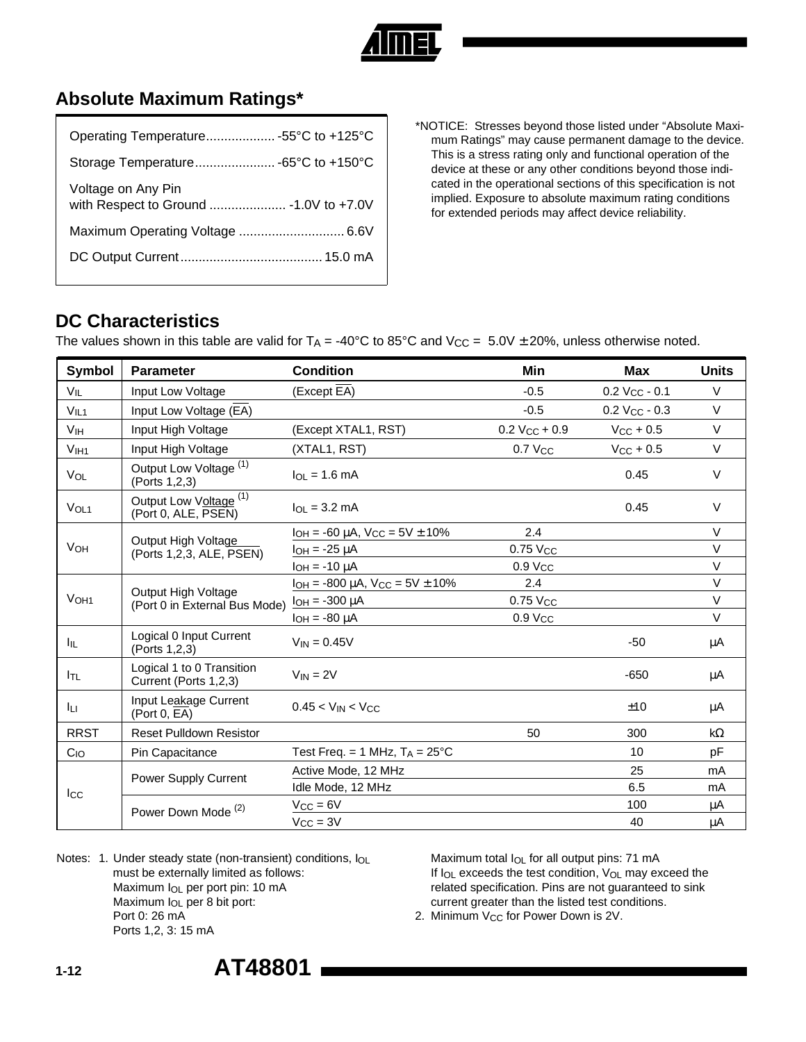

### **Absolute Maximum Ratings\***

| Operating Temperature55°C to +125°C                           |
|---------------------------------------------------------------|
|                                                               |
| Voltage on Any Pin<br>with Respect to Ground  - 1.0V to +7.0V |
|                                                               |
|                                                               |
|                                                               |

\*NOTICE: Stresses beyond those listed under "Absolute Maximum Ratings" may cause permanent damage to the device. This is a stress rating only and functional operation of the device at these or any other conditions beyond those indicated in the operational sections of this specification is not implied. Exposure to absolute maximum rating conditions for extended periods may affect device reliability.

### **DC Characteristics**

The values shown in this table are valid for  $T_A = -40^{\circ}C$  to 85°C and  $V_{CC} = 5.0V \pm 20\%$ , unless otherwise noted.

| Symbol                | <b>Parameter</b>                                         | <b>Condition</b>                            | Min                         | <b>Max</b>                  | <b>Units</b> |
|-----------------------|----------------------------------------------------------|---------------------------------------------|-----------------------------|-----------------------------|--------------|
| $V_{IL}$              | Input Low Voltage                                        | (Except EA)                                 | $-0.5$                      | $0.2 V_{CC} - 0.1$          | $\vee$       |
| V <sub>IL1</sub>      | Input Low Voltage (EA)                                   |                                             | $-0.5$                      | $0.2$ V <sub>CC</sub> - 0.3 | $\vee$       |
| VIH                   | Input High Voltage                                       | (Except XTAL1, RST)                         | $0.2$ V <sub>CC</sub> + 0.9 | $V_{CC}$ + 0.5              | $\vee$       |
| V <sub>IH1</sub>      | Input High Voltage                                       | (XTAL1, RST)                                | 0.7 Vcc                     | $V_{CC}$ + 0.5              | $\vee$       |
| <b>VOL</b>            | Output Low Voltage <sup>(1)</sup><br>(Ports 1,2,3)       | $I_{\Omega I} = 1.6 \text{ mA}$             |                             | 0.45                        | $\vee$       |
| VOL <sub>1</sub>      | Output Low Voltage <sup>(1)</sup><br>(Port 0, ALE, PSEN) | $\ln = 3.2 \text{ mA}$                      |                             | 0.45                        | $\vee$       |
|                       |                                                          | $I_{OH}$ = -60 µA, $V_{CC}$ = 5V $\pm$ 10%  | 2.4                         |                             | $\vee$       |
| <b>V<sub>OH</sub></b> | Output High Voltage<br>(Ports 1,2,3, ALE, PSEN)          | $I_{OH} = -25 \mu A$                        | 0.75 Vcc                    |                             | $\vee$       |
|                       |                                                          | $I_{OH} = -10 \mu A$                        | $0.9$ $V_{CC}$              |                             | $\vee$       |
|                       | Output High Voltage<br>(Port 0 in External Bus Mode)     | $I_{OH}$ = -800 µA, $V_{CC}$ = 5V $\pm$ 10% | 2.4                         |                             | $\vee$       |
| V <sub>OH1</sub>      |                                                          | $I_{OH} = -300 \mu A$                       | 0.75 Vcc                    |                             | $\vee$       |
|                       |                                                          | $I_{OH} = -80 \mu A$                        | $0.9$ $V_{CC}$              |                             | $\vee$       |
| Iц.                   | Logical 0 Input Current<br>(Ports 1,2,3)                 | $V_{IN} = 0.45V$                            |                             | $-50$                       | μA           |
| I <sub>TL</sub>       | Logical 1 to 0 Transition<br>Current (Ports 1,2,3)       | $V_{IN} = 2V$                               |                             | $-650$                      | μA           |
| Īц.                   | Input Leakage Current<br>(Port 0, EA)                    | $0.45 < V_{IN} < V_{CC}$                    |                             | ±10                         | μA           |
| <b>RRST</b>           | <b>Reset Pulldown Resistor</b>                           |                                             | 50                          | 300                         | $k\Omega$    |
| $C_{IO}$              | Pin Capacitance                                          | Test Freq. = 1 MHz, $T_A = 25^{\circ}C$     |                             | 10                          | pF           |
|                       | Power Supply Current                                     | Active Mode, 12 MHz                         |                             | 25                          | mA           |
| $_{\rm lcc}$          |                                                          | Idle Mode, 12 MHz                           |                             | 6.5                         | mA           |
|                       | Power Down Mode <sup>(2)</sup>                           | $V_{CC} = 6V$                               |                             | 100                         | μA           |
|                       |                                                          | $V_{\rm CC} = 3V$                           |                             | 40                          | μA           |

Notes: 1. Under steady state (non-transient) conditions, IOL must be externally limited as follows: Maximum IOL per port pin: 10 mA Maximum  $I_{OL}$  per 8 bit port: Port 0: 26 mA Ports 1,2, 3: 15 mA

Maximum total  $I_{OL}$  for all output pins: 71 mA If  $I_{OL}$  exceeds the test condition,  $V_{OL}$  may exceed the related specification. Pins are not guaranteed to sink current greater than the listed test conditions.

2. Minimum V<sub>CC</sub> for Power Down is 2V.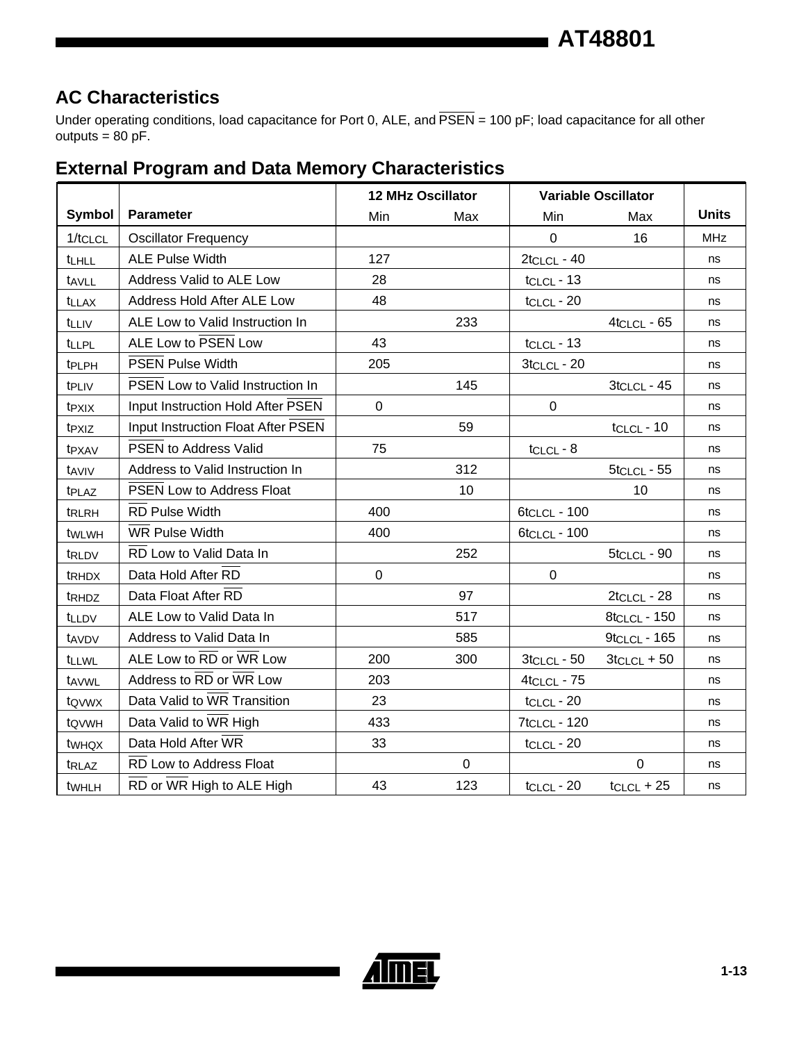### **AC Characteristics**

Under operating conditions, load capacitance for Port 0, ALE, and  $\overline{PSEN}$  = 100 pF; load capacitance for all other  $outputs = 80 pF$ .

### **External Program and Data Memory Characteristics**

|                   |                                         | <b>12 MHz Oscillator</b> |             | <b>Variable Oscillator</b> |                 |              |
|-------------------|-----------------------------------------|--------------------------|-------------|----------------------------|-----------------|--------------|
| <b>Symbol</b>     | <b>Parameter</b>                        | Min                      | Max         | Min                        | Max             | <b>Units</b> |
| 1/tCLCL           | <b>Oscillator Frequency</b>             |                          |             | $\Omega$                   | 16              | <b>MHz</b>   |
| <b>tLHLL</b>      | <b>ALE Pulse Width</b>                  | 127                      |             | $2tCLCL - 40$              |                 | ns           |
| tAVLL             | Address Valid to ALE Low                | 28                       |             | $t_{CLCL}$ - 13            |                 | ns           |
| <b>t</b> LLAX     | Address Hold After ALE Low              | 48                       |             | $tCLCL - 20$               |                 | ns           |
| <b>t</b> LLIV     | ALE Low to Valid Instruction In         |                          | 233         |                            | $4$ tclcL - 65  | ns           |
| <b>tLLPL</b>      | ALE Low to PSEN Low                     | 43                       |             | $tCLCL - 13$               |                 | ns           |
| tPLPH             | <b>PSEN Pulse Width</b>                 | 205                      |             | $3$ tclcl - 20             |                 | ns           |
| t <sub>PLIV</sub> | <b>PSEN Low to Valid Instruction In</b> |                          | 145         |                            | $3tCLCL - 45$   | ns           |
| t <sub>PXIX</sub> | Input Instruction Hold After PSEN       | $\mathbf 0$              |             | 0                          |                 | ns           |
| t <sub>PXIZ</sub> | Input Instruction Float After PSEN      |                          | 59          |                            | $tCLCL - 10$    | ns           |
| t <sub>PXAV</sub> | <b>PSEN to Address Valid</b>            | 75                       |             | $tCLCL - 8$                |                 | ns           |
| taviv             | Address to Valid Instruction In         |                          | 312         |                            | $5$ tclcL - 55  | ns           |
| tPLAZ             | <b>PSEN Low to Address Float</b>        |                          | 10          |                            | 10              | ns           |
| t <sub>RLRH</sub> | <b>RD Pulse Width</b>                   | 400                      |             | 6t <sub>CLCL</sub> - 100   |                 | ns           |
| twlwH             | <b>WR Pulse Width</b>                   | 400                      |             | 6t <sub>CLCL</sub> - 100   |                 | ns           |
| tRLDV             | RD Low to Valid Data In                 |                          | 252         |                            | 5tclcL - 90     | ns           |
| t <sub>RHDX</sub> | Data Hold After RD                      | $\overline{0}$           |             | $\overline{0}$             |                 | ns           |
| t <sub>RHDZ</sub> | Data Float After RD                     |                          | 97          |                            | $2tCLCL - 28$   | ns           |
| tLLDV             | ALE Low to Valid Data In                |                          | 517         |                            | 8tclcL - 150    | ns           |
| tAVDV             | Address to Valid Data In                |                          | 585         |                            | $9$ tclcL - 165 | ns           |
| <b>t</b> LLWL     | ALE Low to RD or WR Low                 | 200                      | 300         | $3tCLCL - 50$              | $3tCLCL + 50$   | ns           |
| tavwL             | Address to RD or WR Low                 | 203                      |             | $4$ tclcl - $75$           |                 | ns           |
| tovwx             | Data Valid to WR Transition             | 23                       |             | $tCLCL - 20$               |                 | ns           |
| t <sub>QVWH</sub> | Data Valid to WR High                   | 433                      |             | <b>7tcLcL - 120</b>        |                 | ns           |
| twhQX             | Data Hold After WR                      | 33                       |             | $tCLCL - 20$               |                 | ns           |
| t <sub>RLAZ</sub> | RD Low to Address Float                 |                          | $\mathbf 0$ |                            | $\mathbf 0$     | ns           |
| twhLH             | RD or WR High to ALE High               | 43                       | 123         | $tCLCL - 20$               | $t_{CLCL}$ + 25 | ns           |

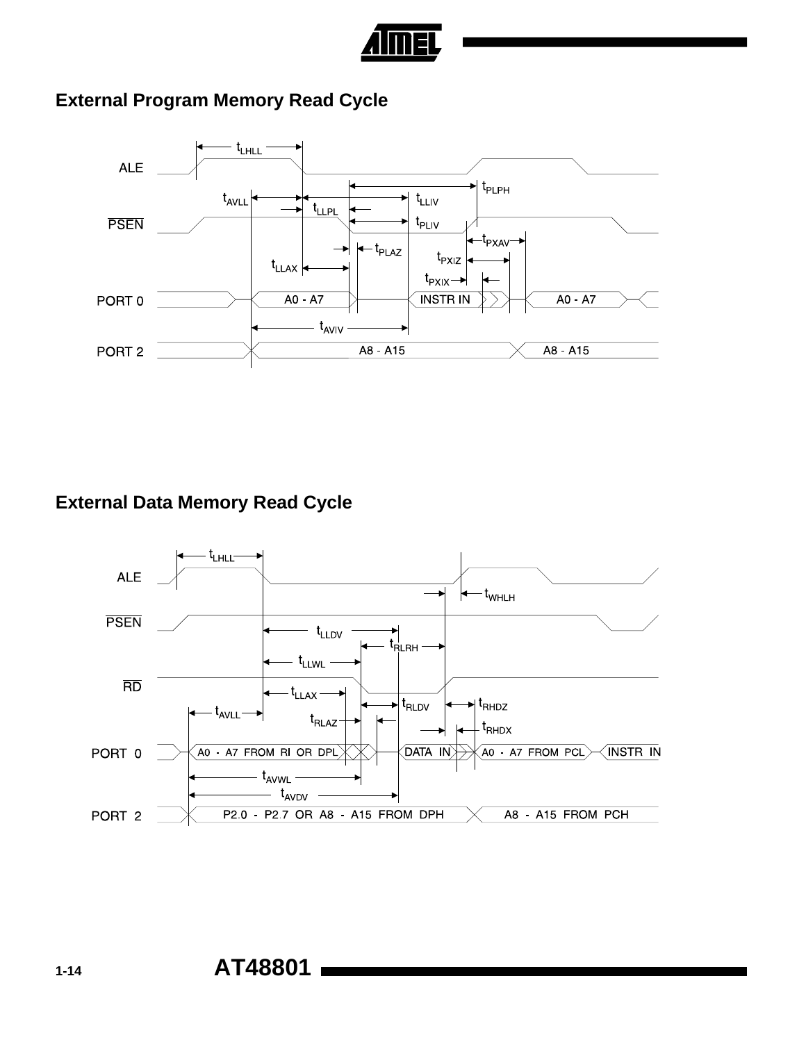

## **External Program Memory Read Cycle**



### **External Data Memory Read Cycle**

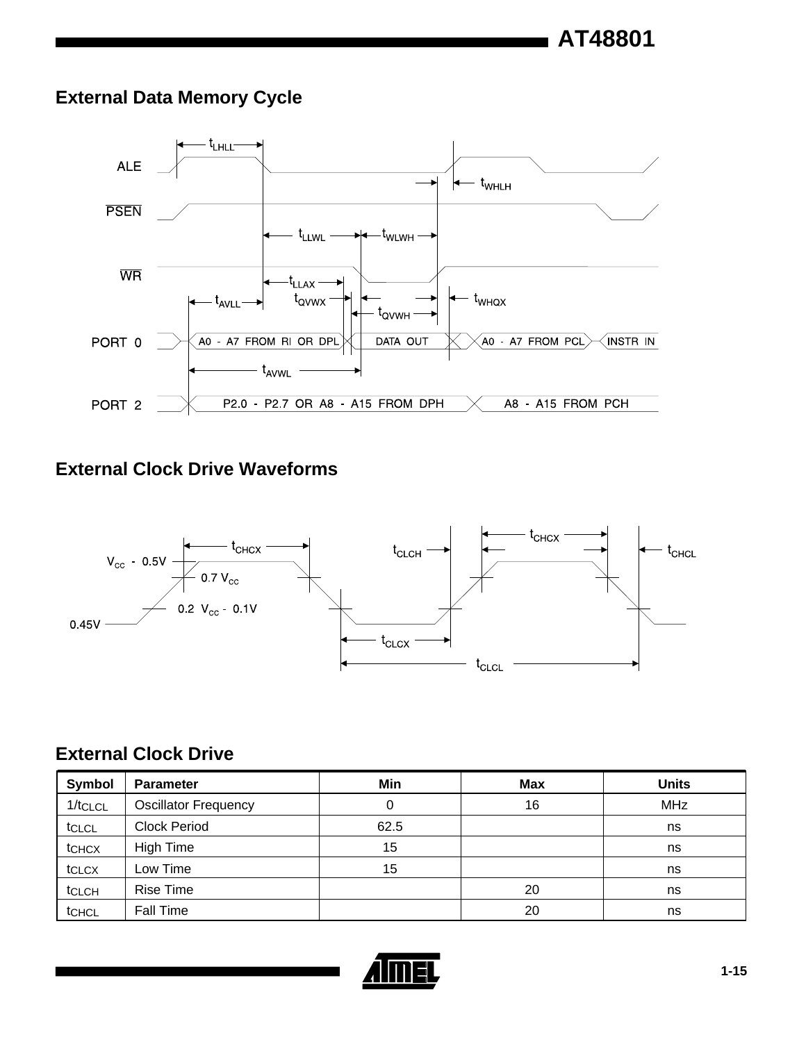### **External Data Memory Cycle**



### **External Clock Drive Waveforms**



### **External Clock Drive**

| Symbol  | <b>Parameter</b>            | Min  | <b>Max</b> | <b>Units</b> |
|---------|-----------------------------|------|------------|--------------|
| 1/tcLcL | <b>Oscillator Frequency</b> | 0    | 16         | <b>MHz</b>   |
| tclcL   | <b>Clock Period</b>         | 62.5 |            | ns           |
| tchcx   | High Time                   | 15   |            | ns           |
| tclcx   | Low Time                    | 15   |            | ns           |
| tCLCH   | <b>Rise Time</b>            |      | 20         | ns           |
| tCHCL   | Fall Time                   |      | 20         | ns           |

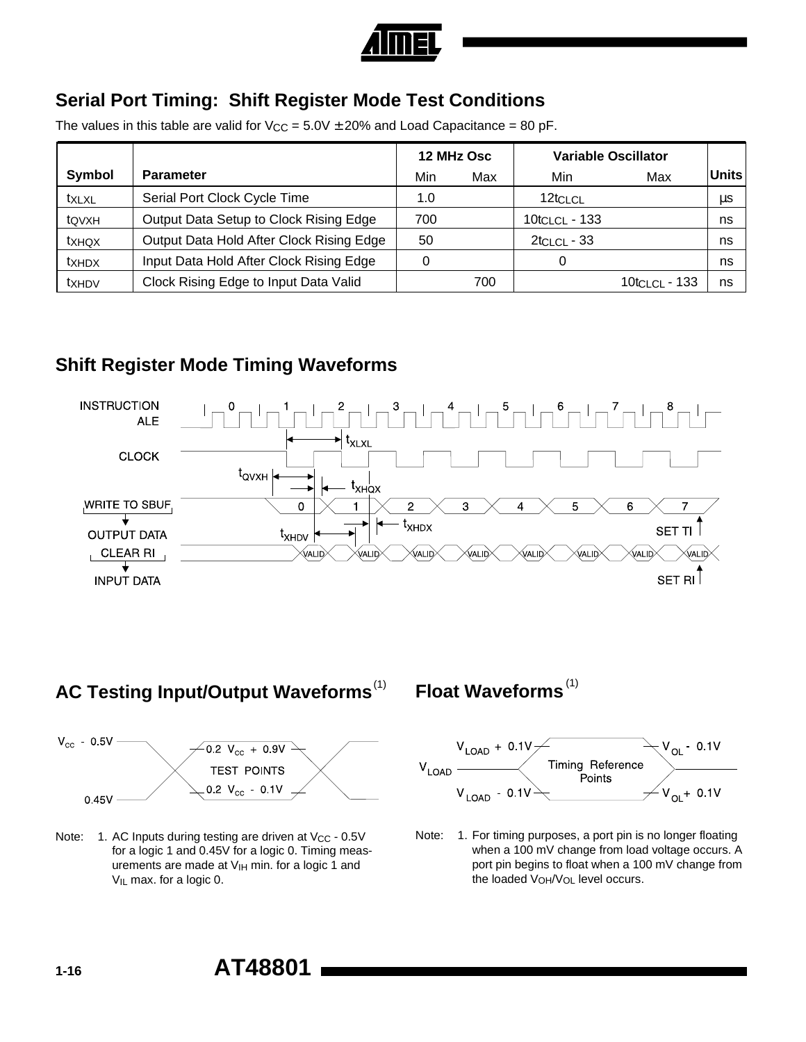

### **Serial Port Timing: Shift Register Mode Test Conditions**

The values in this table are valid for  $V_{CC} = 5.0V \pm 20\%$  and Load Capacitance = 80 pF.

|        |                                          | <b>Variable Oscillator</b><br>12 MHz Osc |     |                  |                |              |
|--------|------------------------------------------|------------------------------------------|-----|------------------|----------------|--------------|
| Symbol | <b>Parameter</b>                         | Min                                      | Max | Min              | Max            | <b>Units</b> |
| txlxl  | Serial Port Clock Cycle Time             | 1.0                                      |     | 12tclcL          |                | μs           |
| tQVXH  | Output Data Setup to Clock Rising Edge   | 700                                      |     | $10$ tclcL - 133 |                | ns           |
| txhqx  | Output Data Hold After Clock Rising Edge | 50                                       |     | $2$ tclcL - 33   |                | ns           |
| txhdx  | Input Data Hold After Clock Rising Edge  | 0                                        |     |                  |                | ns           |
| txhdy  | Clock Rising Edge to Input Data Valid    |                                          | 700 |                  | 10tci ci - 133 | ns           |

### **Shift Register Mode Timing Waveforms**



### **AC Testing Input/Output Waveforms**<sup>(1)</sup>



Note: 1. AC Inputs during testing are driven at  $V_{CC}$  - 0.5V for a logic 1 and 0.45V for a logic 0. Timing measurements are made at  $V_{\text{IH}}$  min. for a logic 1 and  $V_{IL}$  max. for a logic 0.

**Float Waveforms**(1)



Note: 1. For timing purposes, a port pin is no longer floating when a 100 mV change from load voltage occurs. A port pin begins to float when a 100 mV change from the loaded V<sub>OH</sub>/V<sub>OL</sub> level occurs.